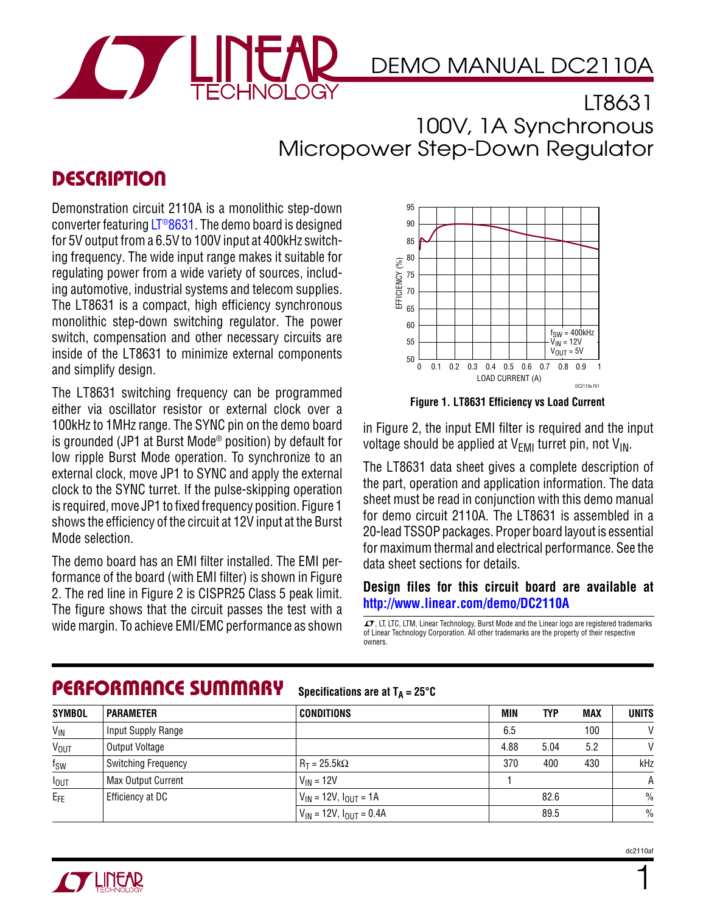

## DEMO MANUAL DC2110A

LT8631 100V, 1A Synchronous Micropower Step-Down Regulator

## **DESCRIPTION**

Demonstration circuit 2110A is a monolithic step-down converter featuring LT<sup>®</sup>8631. The demo board is designed for 5V output from a 6.5V to 100V input at 400kHz switching frequency. The wide input range makes it suitable for regulating power from a wide variety of sources, including automotive, industrial systems and telecom supplies. The LT8631 is a compact, high efficiency synchronous monolithic step-down switching regulator. The power switch, compensation and other necessary circuits are inside of the LT8631 to minimize external components and simplify design.

The LT8631 switching frequency can be programmed either via oscillator resistor or external clock over a 100kHz to 1MHz range. The SYNC pin on the demo board is grounded (JP1 at Burst Mode® position) by default for low ripple Burst Mode operation. To synchronize to an external clock, move JP1 to SYNC and apply the external clock to the SYNC turret. If the pulse-skipping operation is required, move JP1 to fixed frequency position. Figure 1 shows the efficiency of the circuit at 12V input at the Burst Mode selection.

The demo board has an EMI filter installed. The EMI performance of the board (with EMI filter) is shown in Figure 2. The red line in Figure 2 is CISPR25 Class 5 peak limit. The figure shows that the circuit passes the test with a Wide margin. To achieve EMI/EMC performance as shown  $\sigma$ , LT, LTC, LTM, Linear Technology, Burst Mode and the Linear logo are registered trademarks



**Figure 1. LT8631 Efficiency vs Load Current**

in Figure 2, the input EMI filter is required and the input voltage should be applied at  $V_{FMI}$  turret pin, not  $V_{IN}$ .

The LT8631 data sheet gives a complete description of the part, operation and application information. The data sheet must be read in conjunction with this demo manual for demo circuit 2110A. The LT8631 is assembled in a 20-lead TSSOP packages. Proper board layout is essential for maximum thermal and electrical performance. See the data sheet sections for details.

#### **Design files for this circuit board are available at <http://www.linear.com/demo/DC2110A>**

of Linear Technology Corporation. All other trademarks are the property of their respective owners.

#### Performance Summary

Specifications are at  $T_A = 25^\circ C$ 

| <b>SYMBOL</b>          | <b>PARAMETER</b>           | <b>CONDITIONS</b>                | <b>MIN</b> | <b>TYP</b> | <b>MAX</b> | <b>UNITS</b> |
|------------------------|----------------------------|----------------------------------|------------|------------|------------|--------------|
| $V_{\text{IN}}$        | Input Supply Range         |                                  | 6.5        |            | 100        | $\vee$       |
| <b>V<sub>OUT</sub></b> | Output Voltage             |                                  | 4.88       | 5.04       | 5.2        | $\mathsf{V}$ |
| $f_{SW}$               | <b>Switching Frequency</b> | $R_T = 25.5k\Omega$              | 370        | 400        | 430        | kHz          |
| $I_{OUT}$              | Max Output Current         | $V_{IN}$ = 12V                   |            |            |            | A            |
| $E_{FE}$               | Efficiency at DC           | $V_{IN}$ = 12V, $I_{OUT}$ = 1A   |            | 82.6       |            | $\%$         |
|                        |                            | $V_{IN}$ = 12V, $I_{OUT}$ = 0.4A |            | 89.5       |            | $\%$         |



1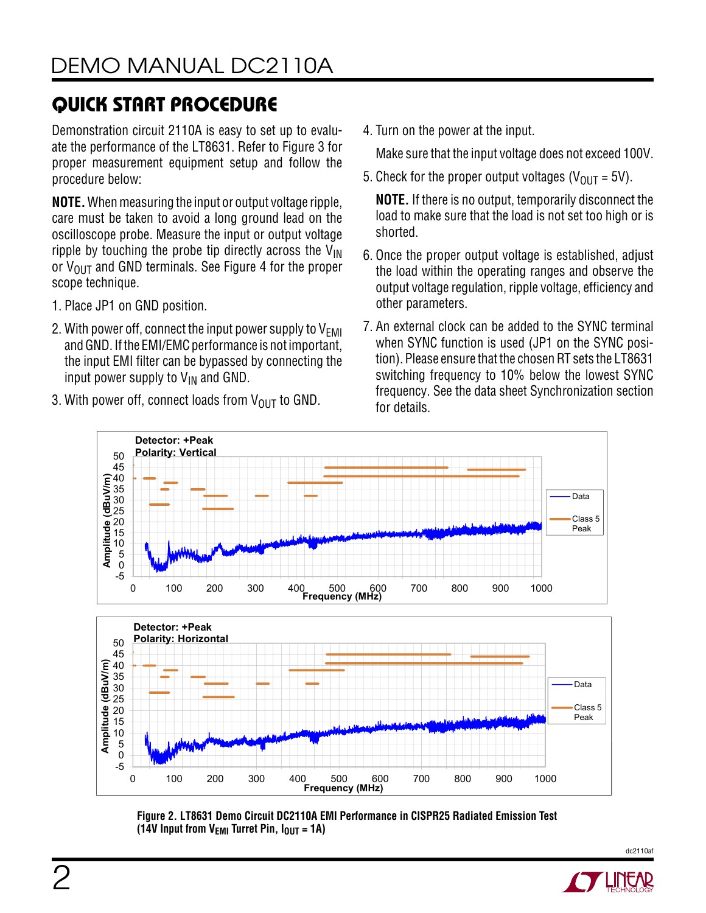# Quick Start Procedure

Demonstration circuit 2110A is easy to set up to evaluate the performance of the LT8631. Refer to Figure 3 for proper measurement equipment setup and follow the procedure below:

**NOTE.** When measuring the input or output voltage ripple, care must be taken to avoid a long ground lead on the oscilloscope probe. Measure the input or output voltage ripple by touching the probe tip directly across the  $V_{IN}$ or  $V_{\text{OUT}}$  and GND terminals. See Figure 4 for the proper scope technique.

- 1. Place JP1 on GND position.
- 2. With power off, connect the input power supply to  $V_{\text{FMI}}$ and GND. If the EMI/EMC performance is not important, the input EMI filter can be bypassed by connecting the input power supply to  $V_{IN}$  and GND.
- 3. With power off, connect loads from  $V_{\text{OUT}}$  to GND.

4. Turn on the power at the input.

Make sure that the input voltage does not exceed 100V.

5. Check for the proper output voltages ( $V_{OIII}$  = 5V).

**NOTE.** If there is no output, temporarily disconnect the load to make sure that the load is not set too high or is shorted.

- 6. Once the proper output voltage is established, adjust the load within the operating ranges and observe the output voltage regulation, ripple voltage, efficiency and other parameters.
- 7. An external clock can be added to the SYNC terminal when SYNC function is used (JP1 on the SYNC position). Please ensure that the chosen RT sets the LT8631 switching frequency to 10% below the lowest SYNC frequency. See the data sheet Synchronization section for details.



**Figure 2. LT8631 Demo Circuit DC2110A EMI Performance in CISPR25 Radiated Emission Test**  (14V Input from  $V_{\text{EMI}}$  Turret Pin,  $I_{\text{OUT}} = 1$ A)



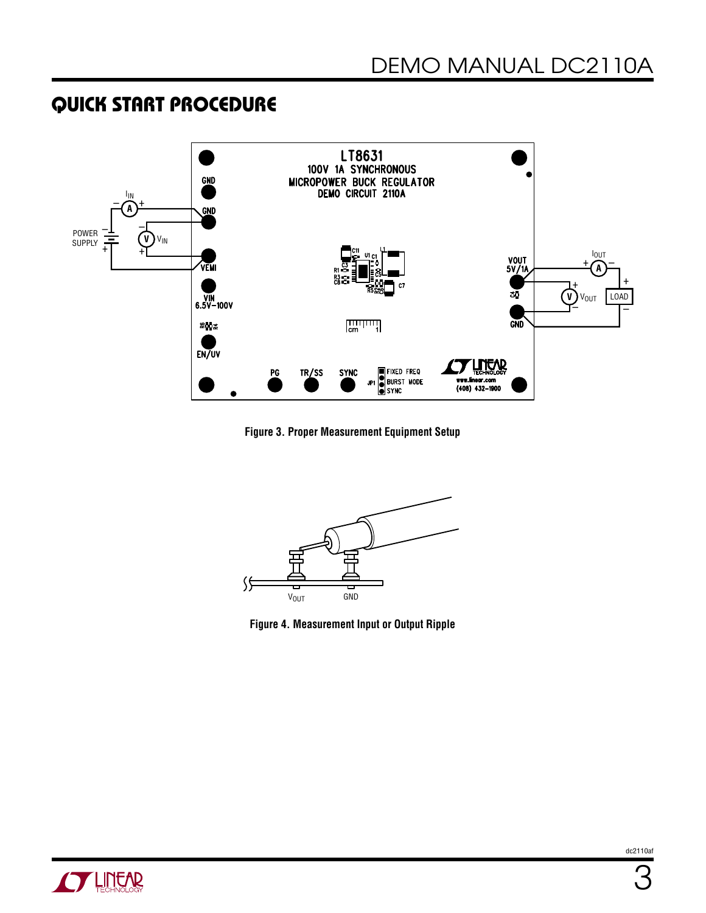## Quick Start Procedure



**Figure 3. Proper Measurement Equipment Setup**



**Figure 4. Measurement Input or Output Ripple**

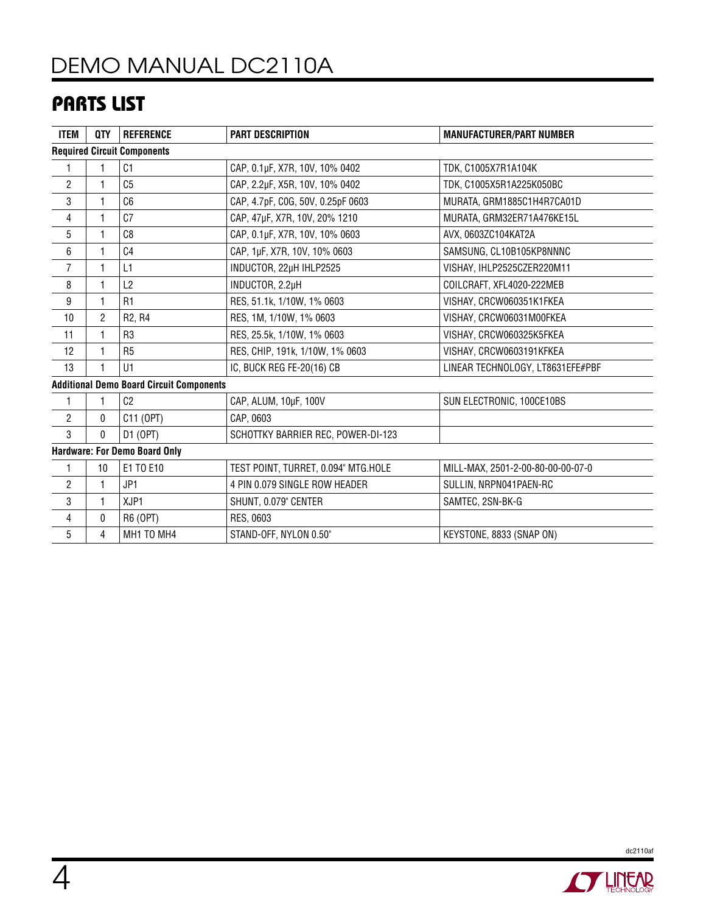# DEMO MANUAL DC2110A

## Parts List

| <b>ITEM</b>                                     | <b>QTY</b> | <b>REFERENCE</b>                | <b>PART DESCRIPTION</b>             | <b>MANUFACTURER/PART NUMBER</b>   |  |  |  |  |
|-------------------------------------------------|------------|---------------------------------|-------------------------------------|-----------------------------------|--|--|--|--|
| <b>Required Circuit Components</b>              |            |                                 |                                     |                                   |  |  |  |  |
| 1                                               | 1          | C <sub>1</sub>                  | CAP, 0.1µF, X7R, 10V, 10% 0402      | TDK, C1005X7R1A104K               |  |  |  |  |
| $\overline{c}$                                  | 1          | C <sub>5</sub>                  | CAP, 2.2µF, X5R, 10V, 10% 0402      | TDK, C1005X5R1A225K050BC          |  |  |  |  |
| 3                                               | 1          | C6                              | CAP, 4.7pF, COG, 50V, 0.25pF 0603   | MURATA, GRM1885C1H4R7CA01D        |  |  |  |  |
| 4                                               | 1          | C <sub>7</sub>                  | CAP, 47µF, X7R, 10V, 20% 1210       | MURATA, GRM32ER71A476KE15L        |  |  |  |  |
| 5                                               | 1          | C <sub>8</sub>                  | CAP, 0.1µF, X7R, 10V, 10% 0603      | AVX, 0603ZC104KAT2A               |  |  |  |  |
| 6                                               | 1          | C <sub>4</sub>                  | CAP, 1µF, X7R, 10V, 10% 0603        | SAMSUNG, CL10B105KP8NNNC          |  |  |  |  |
| $\overline{7}$                                  | 1          | L1                              | INDUCTOR, 22µH IHLP2525             | VISHAY, IHLP2525CZER220M11        |  |  |  |  |
| 8                                               | 1          | L2                              | INDUCTOR, 2.2µH                     | COILCRAFT, XFL4020-222MEB         |  |  |  |  |
| 9                                               | 1          | R1                              | RES, 51.1k, 1/10W, 1% 0603          | VISHAY, CRCW060351K1FKEA          |  |  |  |  |
| 10                                              | 2          | R <sub>2</sub> , R <sub>4</sub> | RES, 1M, 1/10W, 1% 0603             | VISHAY, CRCW06031M00FKEA          |  |  |  |  |
| 11                                              | 1          | R <sub>3</sub>                  | RES, 25.5k, 1/10W, 1% 0603          | VISHAY, CRCW060325K5FKEA          |  |  |  |  |
| 12                                              | 1          | R <sub>5</sub>                  | RES, CHIP, 191k, 1/10W, 1% 0603     | VISHAY, CRCW0603191KFKEA          |  |  |  |  |
| 13                                              | 1          | U1                              | IC, BUCK REG FE-20(16) CB           | LINEAR TECHNOLOGY, LT8631EFE#PBF  |  |  |  |  |
| <b>Additional Demo Board Circuit Components</b> |            |                                 |                                     |                                   |  |  |  |  |
| 1                                               | 1          | C <sub>2</sub>                  | CAP, ALUM, 10µF, 100V               | SUN ELECTRONIC, 100CE10BS         |  |  |  |  |
| $\overline{c}$                                  | 0          | C11 (OPT)                       | CAP, 0603                           |                                   |  |  |  |  |
| 3                                               | 0          | D1 (OPT)                        | SCHOTTKY BARRIER REC, POWER-DI-123  |                                   |  |  |  |  |
| <b>Hardware: For Demo Board Only</b>            |            |                                 |                                     |                                   |  |  |  |  |
| 1                                               | 10         | E1 TO E10                       | TEST POINT, TURRET, 0.094" MTG.HOLE | MILL-MAX, 2501-2-00-80-00-00-07-0 |  |  |  |  |
| $\mathbf{2}$                                    | 1          | JP1                             | 4 PIN 0.079 SINGLE ROW HEADER       | SULLIN, NRPN041PAEN-RC            |  |  |  |  |
| 3                                               | 1          | XJP1                            | SHUNT, 0.079" CENTER                | SAMTEC, 2SN-BK-G                  |  |  |  |  |
| $\overline{4}$                                  | 0          | R6 (OPT)                        | RES, 0603                           |                                   |  |  |  |  |
| 5                                               | 4          | MH1 TO MH4                      | STAND-OFF, NYLON 0.50"              | KEYSTONE, 8833 (SNAP ON)          |  |  |  |  |



dc2110af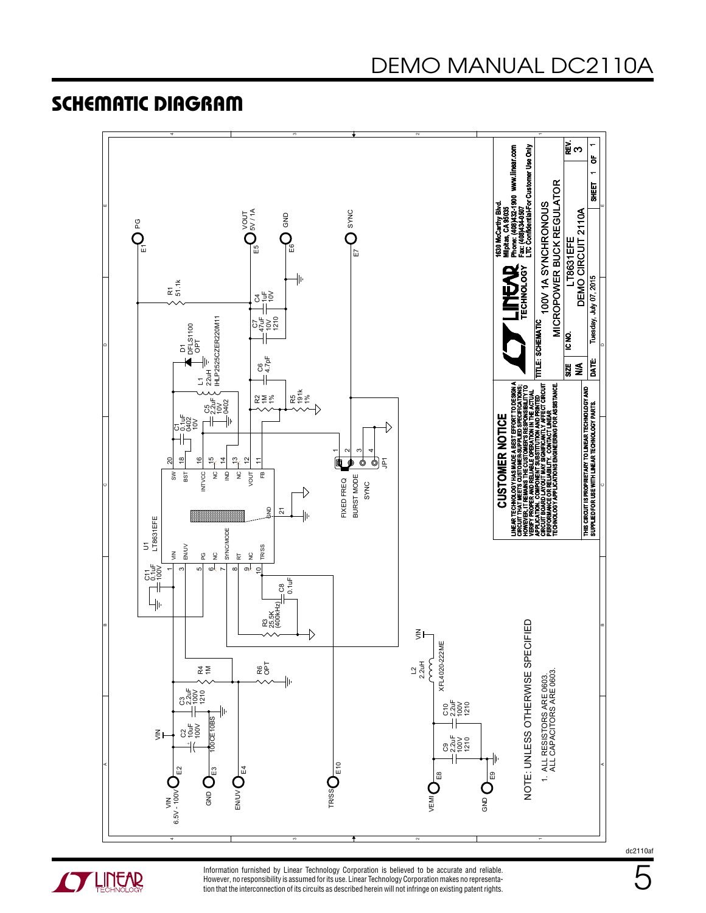### Schematic Diagram





Information furnished by Linear Technology Corporation is believed to be accurate and reliable. However, no responsibility is assumed for its use. Linear Technology Corporation makes no representation that the interconnection of its circuits as described herein will not infringe on existing patent rights. 5